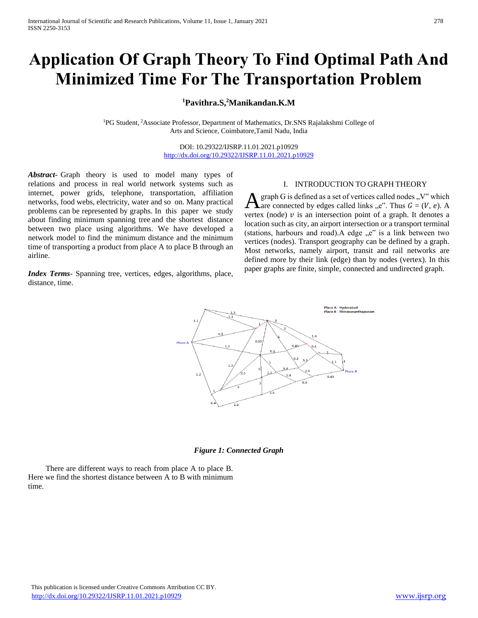# **Application Of Graph Theory To Find Optimal Path And Minimized Time For The Transportation Problem**

**<sup>1</sup>Pavithra.S,<sup>2</sup>Manikandan.K.M** 

<sup>1</sup>PG Student, <sup>2</sup>Associate Professor, Department of Mathematics, Dr.SNS Rajalakshmi College of Arts and Science, Coimbatore,Tamil Nadu, India

> DOI: 10.29322/IJSRP.11.01.2021.p10929 <http://dx.doi.org/10.29322/IJSRP.11.01.2021.p10929>

*Abstract***-** Graph theory is used to model many types of relations and process in real world network systems such as internet, power grids, telephone, transportation, affiliation networks, food webs, electricity, water and so on. Many practical problems can be represented by graphs. In this paper we study about finding minimum spanning tree and the shortest distance between two place using algorithms. We have developed a network model to find the minimum distance and the minimum time of transporting a product from place A to place B through an airline.

*Index Terms*- Spanning tree, vertices, edges, algorithms, place, distance, time.

## I. INTRODUCTION TO GRAPH THEORY

graph G is defined as a set of vertices called nodes  $, V^*$  which are connected by edges called links "e". Thus  $G = (V, e)$ . A vertex (node)  $\nu$  is an intersection point of a graph. It denotes a location such as city, an airport intersection or a transport terminal (stations, harbours and road). A edge  $e^x$  is a link between two vertices (nodes). Transport geography can be defined by a graph. Most networks, namely airport, transit and rail networks are defined more by their link (edge) than by nodes (vertex). In this paper graphs are finite, simple, connected and undirected graph. A



#### *Figure 1: Connected Graph*

 There are different ways to reach from place A to place B. Here we find the shortest distance between A to B with minimum time.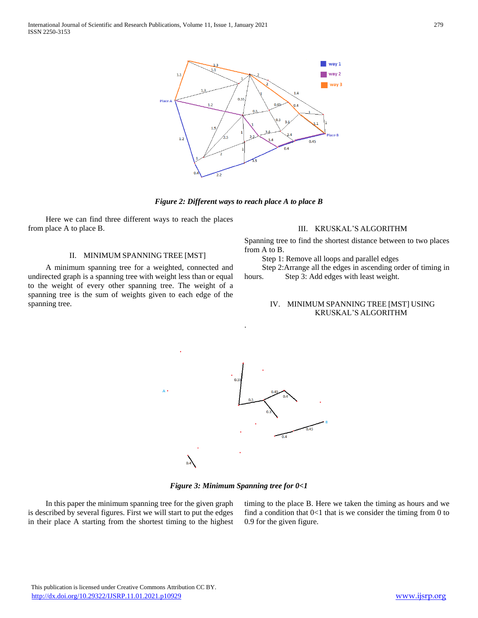

*Figure 2: Different ways to reach place A to place B*

 Here we can find three different ways to reach the places from place A to place B.

### II. MINIMUM SPANNING TREE [MST]

 A minimum spanning tree for a weighted, connected and undirected graph is a spanning tree with weight less than or equal to the weight of every other spanning tree. The weight of a spanning tree is the sum of weights given to each edge of the spanning tree.

#### III. KRUSKAL'S ALGORITHM

Spanning tree to find the shortest distance between to two places from A to B.

Step 1: Remove all loops and parallel edges

Step 2:Arrange all the edges in ascending order of timing in

hours. Step 3: Add edges with least weight.

## IV. MINIMUM SPANNING TREE [MST] USING KRUSKAL'S ALGORITHM



.

*Figure 3: Minimum Spanning tree for 0<1*

 In this paper the minimum spanning tree for the given graph is described by several figures. First we will start to put the edges in their place A starting from the shortest timing to the highest timing to the place B. Here we taken the timing as hours and we find a condition that  $0<1$  that is we consider the timing from 0 to 0.9 for the given figure.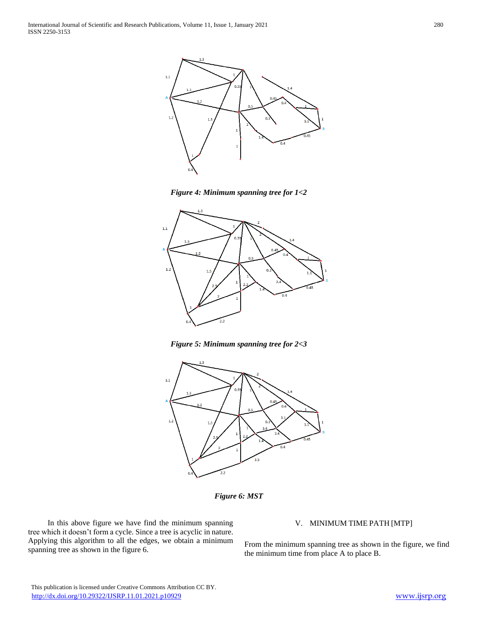

*Figure 4: Minimum spanning tree for 1<2*



*Figure 5: Minimum spanning tree for 2<3*



*Figure 6: MST*

 In this above figure we have find the minimum spanning tree which it doesn't form a cycle. Since a tree is acyclic in nature. Applying this algorithm to all the edges, we obtain a minimum spanning tree as shown in the figure 6.

## V. MINIMUM TIME PATH [MTP]

From the minimum spanning tree as shown in the figure, we find the minimum time from place A to place B.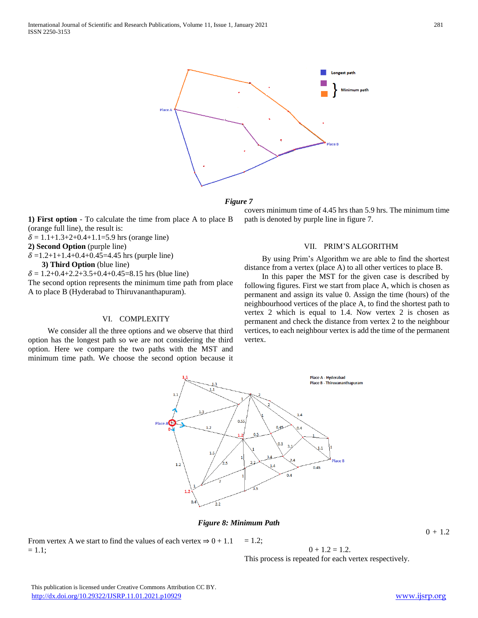



**1) First option** - To calculate the time from place A to place B (orange full line), the result is:

 $\delta = 1.1+1.3+2+0.4+1.1=5.9$  hrs (orange line)

**2) Second Option** (purple line)

 $\delta$  =1.2+1+1.4+0.4+0.45=4.45 hrs (purple line)

**3) Third Option** (blue line)

 $\delta = 1.2+0.4+2.2+3.5+0.4+0.45=8.15$  hrs (blue line)

The second option represents the minimum time path from place A to place B (Hyderabad to Thiruvananthapuram).

#### VI. COMPLEXITY

 We consider all the three options and we observe that third option has the longest path so we are not considering the third option. Here we compare the two paths with the MST and minimum time path. We choose the second option because it covers minimum time of 4.45 hrs than 5.9 hrs. The minimum time path is denoted by purple line in figure 7.

#### VII. PRIM'S ALGORITHM

 By using Prim's Algorithm we are able to find the shortest distance from a vertex (place A) to all other vertices to place B.

 In this paper the MST for the given case is described by following figures. First we start from place A, which is chosen as permanent and assign its value 0. Assign the time (hours) of the neighbourhood vertices of the place A, to find the shortest path to vertex 2 which is equal to 1.4. Now vertex 2 is chosen as permanent and check the distance from vertex 2 to the neighbour vertices, to each neighbour vertex is add the time of the permanent vertex.



*Figure 8: Minimum Path*

From vertex A we start to find the values of each vertex  $\Rightarrow$  0 + 1.1  $= 1.1$ ;  $= 1.2$ ;

 $0 + 1.2 = 1.2$ .

 $0 + 1.2$ 

This process is repeated for each vertex respectively.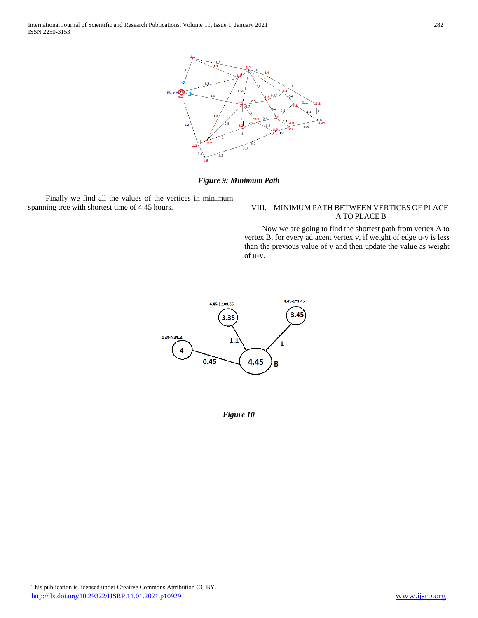

*Figure 9: Minimum Path*

 Finally we find all the values of the vertices in minimum spanning tree with shortest time of 4.45 hours. VIII. MINIMUM PATH BETWEEN VERTICES OF PLACE

## A TO PLACE B

 Now we are going to find the shortest path from vertex A to vertex B, for every adjacent vertex v, if weight of edge u-v is less than the previous value of v and then update the value as weight of u-v.



*Figure 10*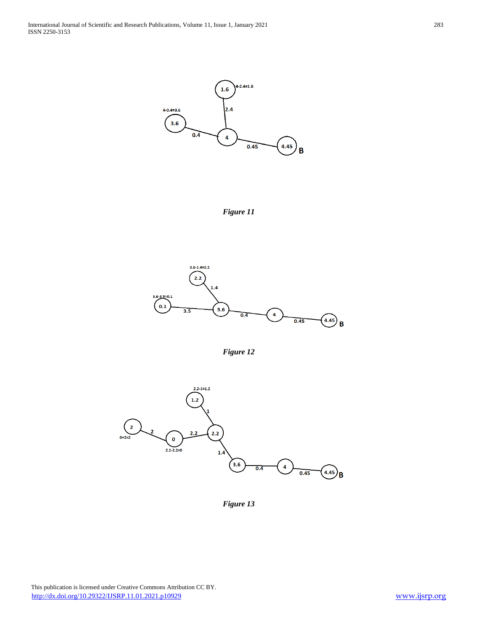

*Figure 11*







*Figure 13*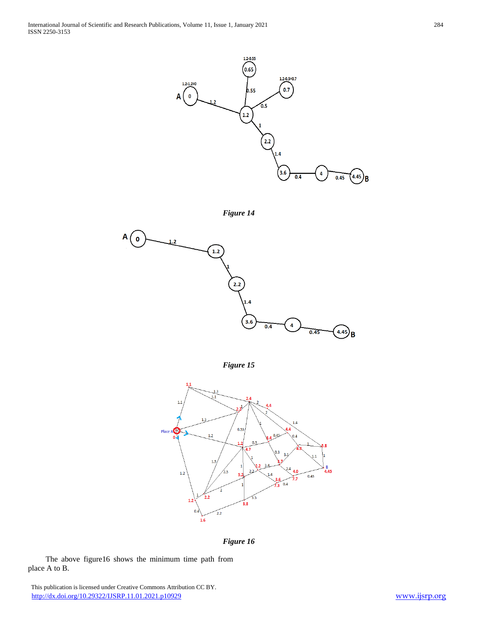





*Figure 15*



*Figure 16*

 The above figure16 shows the minimum time path from place A to B.

 This publication is licensed under Creative Commons Attribution CC BY. <http://dx.doi.org/10.29322/IJSRP.11.01.2021.p10929> [www.ijsrp.org](http://ijsrp.org/)